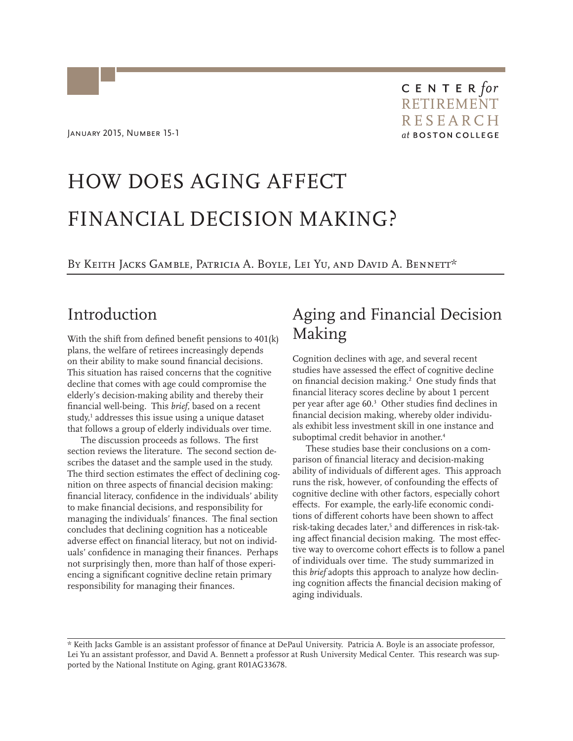# HOW DOES AGING AFFECT FINANCIAL DECISION MAKING?

BY KEITH JACKS GAMBLE, PATRICIA A. BOYLE, LEI YU, AND DAVID A. BENNETT\*

#### Introduction

With the shift from defined benefit pensions to 401(k) plans, the welfare of retirees increasingly depends on their ability to make sound financial decisions. This situation has raised concerns that the cognitive decline that comes with age could compromise the elderly's decision-making ability and thereby their financial well-being. This *brief,* based on a recent study,<sup>1</sup> addresses this issue using a unique dataset that follows a group of elderly individuals over time.

The discussion proceeds as follows. The first section reviews the literature. The second section describes the dataset and the sample used in the study. The third section estimates the effect of declining cognition on three aspects of financial decision making: financial literacy, confidence in the individuals' ability to make financial decisions, and responsibility for managing the individuals' finances. The final section concludes that declining cognition has a noticeable adverse effect on financial literacy, but not on individuals' confidence in managing their finances. Perhaps not surprisingly then, more than half of those experiencing a significant cognitive decline retain primary responsibility for managing their finances.

# Aging and Financial Decision Making

Cognition declines with age, and several recent studies have assessed the effect of cognitive decline on financial decision making.2 One study finds that financial literacy scores decline by about 1 percent per year after age 60.3 Other studies find declines in financial decision making, whereby older individuals exhibit less investment skill in one instance and suboptimal credit behavior in another.<sup>4</sup>

These studies base their conclusions on a comparison of financial literacy and decision-making ability of individuals of different ages. This approach runs the risk, however, of confounding the effects of cognitive decline with other factors, especially cohort effects. For example, the early-life economic conditions of different cohorts have been shown to affect risk-taking decades later,<sup>5</sup> and differences in risk-taking affect financial decision making. The most effective way to overcome cohort effects is to follow a panel of individuals over time. The study summarized in this *brief* adopts this approach to analyze how declining cognition affects the financial decision making of aging individuals.

\* Keith Jacks Gamble is an assistant professor of finance at DePaul University. Patricia A. Boyle is an associate professor, Lei Yu an assistant professor, and David A. Bennett a professor at Rush University Medical Center. This research was supported by the National Institute on Aging, grant R01AG33678.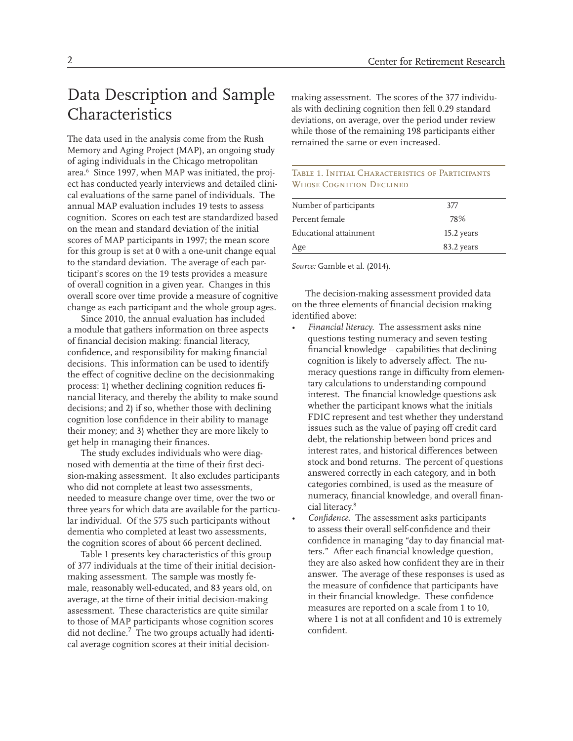# Data Description and Sample Characteristics

The data used in the analysis come from the Rush Memory and Aging Project (MAP), an ongoing study of aging individuals in the Chicago metropolitan area.6 Since 1997, when MAP was initiated, the project has conducted yearly interviews and detailed clinical evaluations of the same panel of individuals. The annual MAP evaluation includes 19 tests to assess cognition. Scores on each test are standardized based on the mean and standard deviation of the initial scores of MAP participants in 1997; the mean score for this group is set at 0 with a one-unit change equal to the standard deviation. The average of each participant's scores on the 19 tests provides a measure of overall cognition in a given year. Changes in this overall score over time provide a measure of cognitive change as each participant and the whole group ages.

Since 2010, the annual evaluation has included a module that gathers information on three aspects of financial decision making: financial literacy, confidence, and responsibility for making financial decisions. This information can be used to identify the effect of cognitive decline on the decisionmaking process: 1) whether declining cognition reduces financial literacy, and thereby the ability to make sound decisions; and 2) if so, whether those with declining cognition lose confidence in their ability to manage their money; and 3) whether they are more likely to get help in managing their finances.

The study excludes individuals who were diagnosed with dementia at the time of their first decision-making assessment. It also excludes participants who did not complete at least two assessments, needed to measure change over time, over the two or three years for which data are available for the particular individual. Of the 575 such participants without dementia who completed at least two assessments, the cognition scores of about 66 percent declined.

Table 1 presents key characteristics of this group of 377 individuals at the time of their initial decisionmaking assessment. The sample was mostly female, reasonably well-educated, and 83 years old, on average, at the time of their initial decision-making assessment. These characteristics are quite similar to those of MAP participants whose cognition scores did not decline.<sup>7</sup> The two groups actually had identical average cognition scores at their initial decisionmaking assessment. The scores of the 377 individuals with declining cognition then fell 0.29 standard deviations, on average, over the period under review hile those of the remaining 198 participants either w remained the same or even increased.

Table 1. Initial Characteristics of Participants WHOSE COGNITION DECLINED

| Number of participants | 377        |
|------------------------|------------|
| Percent female         | 78%        |
| Educational attainment | 15.2 years |
| Age                    | 83.2 years |
|                        |            |

*Source:* Gamble et al. (2014).

The decision-making assessment provided data on the three elements of financial decision making identified above:

- *Financial literacy.* The assessment asks nine questions testing numeracy and seven testing financial knowledge – capabilities that declining cognition is likely to adversely affect. The numeracy questions range in difficulty from elementary calculations to understanding compound interest. The financial knowledge questions ask whether the participant knows what the initials FDIC represent and test whether they understand issues such as the value of paying off credit card debt, the relationship between bond prices and interest rates, and historical differences between stock and bond returns. The percent of questions answered correctly in each category, and in both categories combined, is used as the measure of numeracy, financial knowledge, and overall financial literacy.8
- *Confidence.* The assessment asks participants to assess their overall self-confidence and their confidence in managing "day to day financial matters." After each financial knowledge question, they are also asked how confident they are in their answer. The average of these responses is used as the measure of confidence that participants have in their financial knowledge. These confidence measures are reported on a scale from 1 to 10, where 1 is not at all confident and 10 is extremely confident.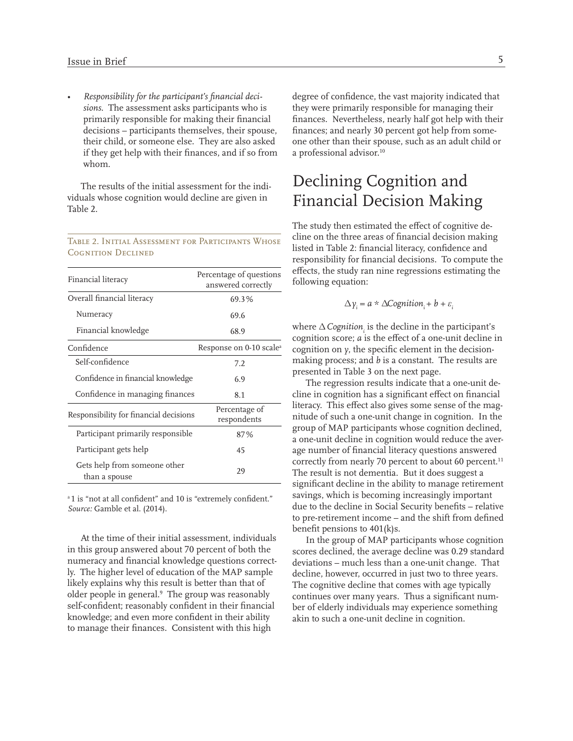Responsibility for the participant's financial deci*sions.* The assessment asks participants who is primarily responsible for making their financial decisions – participants themselves, their spouse, their child, or someone else. They are also asked if they get help with their finances, and if so from whom.

The results of the initial assessment for the individuals whose cognition would decline are given in Table 2.

#### Table 2. Initial Assessment for Participants Whos e Cognition Declined

| Financial literacy                            | Percentage of questions<br>answered correctly |  |
|-----------------------------------------------|-----------------------------------------------|--|
| Overall financial literacy                    | 69.3%                                         |  |
| Numeracy                                      | 69.6                                          |  |
| Financial knowledge                           | 68.9                                          |  |
| Confidence                                    | Response on 0-10 scale <sup>a</sup>           |  |
| Self-confidence                               | 7.2                                           |  |
| Confidence in financial knowledge             | 6.9                                           |  |
| Confidence in managing finances               | 8.1                                           |  |
| Responsibility for financial decisions        | Percentage of<br>respondents                  |  |
| Participant primarily responsible             | 87%                                           |  |
| Participant gets help                         | 45                                            |  |
| Gets help from someone other<br>than a spouse | 29                                            |  |

<sup>a</sup> 1 is "not at all confident" and 10 is "extremely confident." *Source:* Gamble et al. (2014).

At the time of their initial assessment, individuals in this group answered about 70 percent of both the numeracy and financial knowledge questions correctly. The higher level of education of the MAP sample likely explains why this result is better than that of older people in general.<sup>9</sup> The group was reasonably self-confident; reasonably confident in their financial knowledge; and even more confident in their ability to manage their finances. Consistent with this high

degree of confidence, the vast majority indicated that they were primarily responsible for managing their finances. Nevertheless, nearly half got help with their finances; and nearly 30 percent got help from someone other than their spouse, such as an adult child or a professional advisor.10

## Declining Cognition and Financial Decision Making

The study then estimated the effect of cognitive decline on the three areas of financial decision making listed in Table 2: financial literacy, confidence and responsibility for financial decisions. To compute the effects, the study ran nine regressions estimating the following equation:

$$
\Delta \gamma_i = a * \Delta Cognition_i + b + \varepsilon_i
$$

where  $\Delta$  *Cognition*<sub>i</sub> is the decline in the participant's cognition score; *a* is the effect of a one-unit decline in cognition on *y*, the specific element in the decisionmaking process; and *b* is a constant. The results are presented in Table 3 on the next page.

The regression results indicate that a one-unit decline in cognition has a significant effect on financial literacy. This effect also gives some sense of the magnitude of such a one-unit change in cognition. In the group of MAP participants whose cognition declined, a one-unit decline in cognition would reduce the average number of financial literacy questions answered correctly from nearly 70 percent to about 60 percent.<sup>11</sup> The result is not dementia. But it does suggest a significant decline in the ability to manage retirement savings, which is becoming increasingly important due to the decline in Social Security benefits – relative to pre-retirement income – and the shift from defined benefit pensions to 401(k)s.

In the group of MAP participants whose cognition scores declined, the average decline was 0.29 standard deviations – much less than a one-unit change. That decline, however, occurred in just two to three years. The cognitive decline that comes with age typically continues over many years. Thus a significant number of elderly individuals may experience something akin to such a one-unit decline in cognition.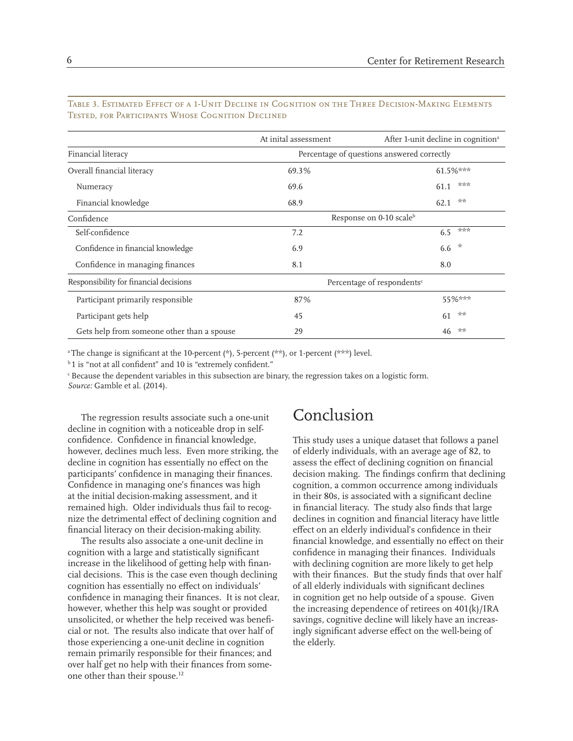|                                            | At inital assessment                       | After 1-unit decline in cognition <sup>a</sup> |
|--------------------------------------------|--------------------------------------------|------------------------------------------------|
| Financial literacy                         | Percentage of questions answered correctly |                                                |
| Overall financial literacy                 | 69.3%                                      | $61.5\%***$                                    |
| Numeracy                                   | 69.6                                       | ***<br>61.1                                    |
| Financial knowledge                        | 68.9                                       | **<br>62.1                                     |
| Confidence                                 | Response on 0-10 scaleb                    |                                                |
| Self-confidence                            | 7.2                                        | ***<br>6.5                                     |
| Confidence in financial knowledge          | 6.9                                        | ☆<br>6.6                                       |
| Confidence in managing finances            | 8.1                                        | 8.0                                            |
| Responsibility for financial decisions     | Percentage of respondents <sup>c</sup>     |                                                |
| Participant primarily responsible          | 87%                                        | 55%***                                         |
| Participant gets help                      | 45                                         | **<br>61                                       |
| Gets help from someone other than a spouse | 29                                         | **<br>46                                       |

Table 3. Estimated Effect of a 1-Unit Decline in Cognition on the Three Decision-Making Elements Tested, for Participants Whose Cognition Declined

<sup>a</sup> The change is significant at the 10-percent (\*), 5-percent (\*\*), or 1-percent (\*\*\*) level.

<sup>b</sup> 1 is "not at all confident" and 10 is "extremely confident."

c Because the dependent variables in this subsection are binary, the regression takes on a logistic form. *Source:* Gamble et al. (2014).

The regression results associate such a one-unit decline in cognition with a noticeable drop in selfconfidence. Confidence in financial knowledge, however, declines much less. Even more striking, the decline in cognition has essentially no effect on the participants' confidence in managing their finances. Confidence in managing one's finances was high at the initial decision-making assessment, and it remained high. Older individuals thus fail to recognize the detrimental effect of declining cognition and financial literacy on their decision-making ability.

The results also associate a one-unit decline in cognition with a large and statistically significant increase in the likelihood of getting help with financial decisions. This is the case even though declining cognition has essentially no effect on individuals' confidence in managing their finances. It is not clear, however, whether this help was sought or provided unsolicited, or whether the help received was beneficial or not. The results also indicate that over half of those experiencing a one-unit decline in cognition remain primarily responsible for their finances; and over half get no help with their finances from someone other than their spouse.12

#### Conclusion

This study uses a unique dataset that follows a panel of elderly individuals, with an average age of 82, to assess the effect of declining cognition on financial decision making. The findings confirm that declining cognition, a common occurrence among individuals in their 80s, is associated with a significant decline in financial literacy. The study also finds that large declines in cognition and financial literacy have little effect on an elderly individual's confidence in their financial knowledge, and essentially no effect on their confidence in managing their finances. Individuals with declining cognition are more likely to get help with their finances. But the study finds that over half of all elderly individuals with significant declines in cognition get no help outside of a spouse. Given the increasing dependence of retirees on 401(k)/IRA savings, cognitive decline will likely have an increasingly significant adverse effect on the well-being of the elderly.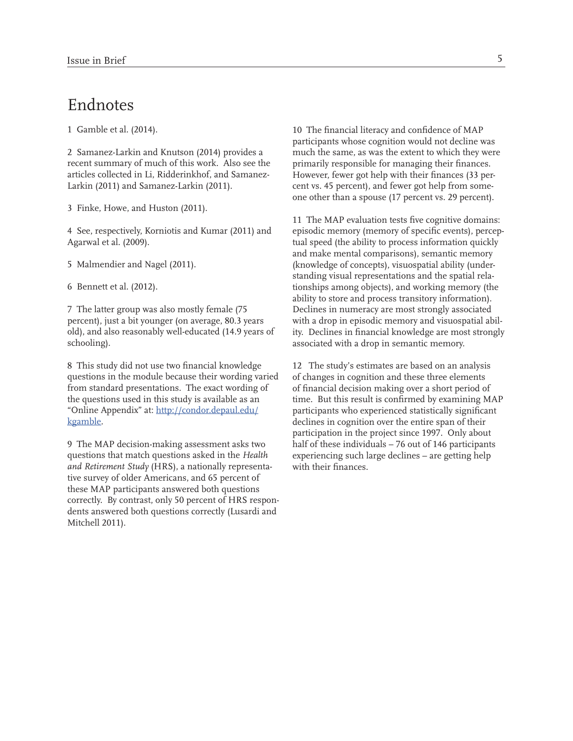#### Endnotes

recent summary of much of this work. Also see the primarily responsible for managing their finances.<br>articles collected in Li, Ridderinkhof, and Samanez-<br>However, fewer got help with their finances (33 per

3 Finke, Howe, and Huston (2011).

schooling). **associated with a drop in semantic memory. associated with a drop in semantic memory.** 

8 This study did not use two financial knowledge 12 The study's estimates are based on an analysis questions in the module because their wording varied of changes in cognition and these three elements from standard presentations. The exact wording of of financial decision making over a short period of the questions used in this study is available as an time. But this result is confirmed by examining MAP "Online Appendix" at: http://condor.depaul.edu/ participants who experienced statistically significant kgamble.  $\blacksquare$ 

questions that match questions asked in the *Health* experiencing such large declines – are getting help *and Retirement Study* (HRS), a nationally representa- with their finances. tive survey of older Americans, and 65 percent of these MAP participants answered both questions correctly. By contrast, only 50 percent of HRS respondents answered both questions correctly (Lusardi and Mitchell 2011).

1 Gamble et al. (2014). 10 The financial literacy and confidence of MAP participants whose cognition would not decline was 2 Samanez-Larkin and Knutson (2014) provides a much the same, as was the extent to which they were However, fewer got help with their finances (33 per-Larkin (2011) and Samanez-Larkin (2011). cent vs. 45 percent), and fewer got help from someone other than a spouse (17 percent vs. 29 percent).

11 The MAP evaluation tests five cognitive domains: 4 See, respectively, Korniotis and Kumar (2011) and episodic memory (memory of specific events), percep-Agarwal et al. (2009). Tual speed (the ability to process information quickly and make mental comparisons), semantic memory 5 Malmendier and Nagel (2011). (knowledge of concepts), visuospatial ability (understanding visual representations and the spatial rela-6 Bennett et al. (2012). tionships among objects), and working memory (the ability to store and process transitory information). 7 The latter group was also mostly female (75 Declines in numeracy are most strongly associated percent), just a bit younger (on average, 80.3 years with a drop in episodic memory and visuospatial abilold), and also reasonably well-educated (14.9 years of ity. Declines in financial knowledge are most strongly

participation in the project since 1997. Only about 9 The MAP decision-making assessment asks two half of these individuals – 76 out of 146 participants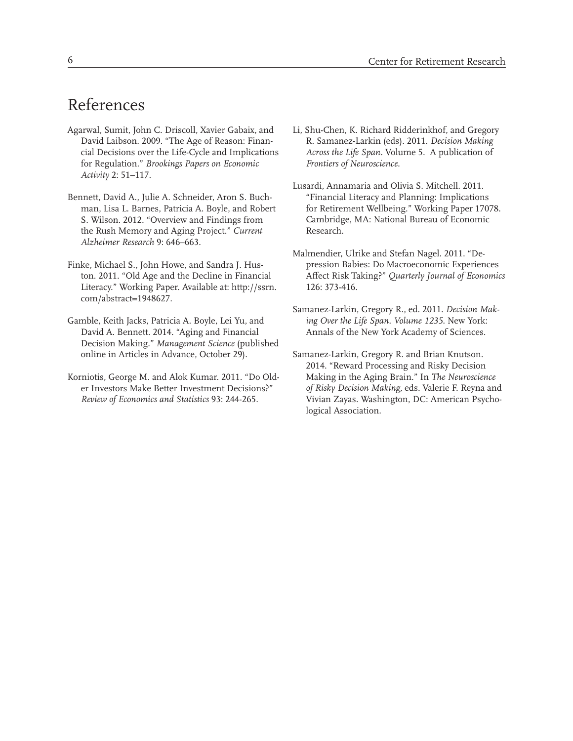### References

- for Regulation." *Brookings Papers on Economic Frontiers of Neuroscience. Activity* 2: 51–117.
- the Rush Memory and Aging Project." Current Research. *Alzheimer Research* 9: 646–663.
- Literacy." Working Paper. Available at: http://ssrn. 126: 373-416. com/abstract=1948627.
- David A. Bennett. 2014. "Aging and Financial Annals of the New York Academy of Sciences. Decision Making." *Management Science* (published online in Articles in Advance, October 29). Samanez-Larkin, Gregory R. and Brian Knutson.
- 
- Agarwal, Sumit, John C. Driscoll, Xavier Gabaix, and Li, Shu-Chen, K. Richard Ridderinkhof, and Gregory David Laibson. 2009. "The Age of Reason: Finan- R. Samanez-Larkin (eds). 2011. *Decision Making*  cial Decisions over the Life-Cycle and Implications *Across the Life Span.* Volume 5. A publication of
- Lusardi, Annamaria and Olivia S. Mitchell. 2011. Bennett, David A., Julie A. Schneider, Aron S. Buch- "Financial Literacy and Planning: Implications man, Lisa L. Barnes, Patricia A. Boyle, and Robert for Retirement Wellbeing." Working Paper 17078. S. Wilson. 2012. "Overview and Findings from Cambridge, MA: National Bureau of Economic
- Malmendier, Ulrike and Stefan Nagel. 2011. "De-Finke, Michael S., John Howe, and Sandra J. Hus- pression Babies: Do Macroeconomic Experiences ton. 2011. "Old Age and the Decline in Financial Affect Risk Taking?" *Quarterly Journal of Economics*
- Samanez-Larkin, Gregory R., ed. 2011. *Decision Mak-*Gamble, Keith Jacks, Patricia A. Boyle, Lei Yu, and *ing Over the Life Span. Volume 1235.* New York:
- 2014. "Reward Processing and Risky Decision Korniotis, George M. and Alok Kumar. 2011. "Do Old- Making in the Aging Brain." In *The Neuroscience*  er Investors Make Better Investment Decisions?" *of Risky Decision Making,* eds. Valerie F. Reyna and *Review of Economics and Statistics* 93: 244-265. Vivian Zayas. Washington, DC: American Psychological Association.